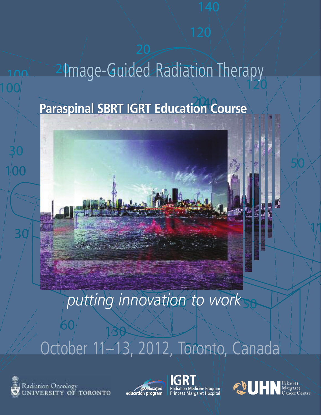# 40 24 mage-Guided Radiation Therapy **Paraspinal SBRT IGRT Education Course**

# *putting innovation to work*

# October 11–13, 2012, Toronto, Canada



0

0



0



20



 $\mathcal{A}^{\prime}$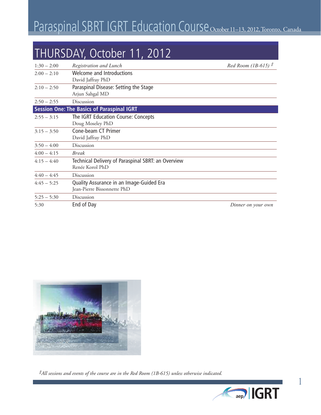## Paraspinal SBRT IGRT Education Course October 11-13, 2012, Toronto, Canada

#### THURSDAY, October 11, 2012

| $1:30 - 2:00$ | Registration and Lunch                                                  | Red Room (1B-615) $\ddot{\tau}$ |
|---------------|-------------------------------------------------------------------------|---------------------------------|
| $2:00 - 2:10$ | Welcome and Introductions<br>David Jaffray PhD                          |                                 |
| $2:10 - 2:50$ | Paraspinal Disease: Setting the Stage<br>Arjun Sahgal MD                |                                 |
| $2:50 - 2:55$ | Discussion                                                              |                                 |
|               | <b>Session One: The Basics of Paraspinal IGRT</b>                       |                                 |
| $2:55 - 3:15$ | The IGRT Education Course: Concepts<br>Doug Moseley PhD                 |                                 |
| $3:15 - 3:50$ | Cone-beam CT Primer<br>David Jaffray PhD                                |                                 |
| $3:50 - 4:00$ | Discussion                                                              |                                 |
| $4:00 - 4:15$ | <b>Break</b>                                                            |                                 |
| $4:15 - 4:40$ | Technical Delivery of Paraspinal SBRT: an Overview<br>Renée Korol PhD   |                                 |
| $4:40 - 4:45$ | Discussion                                                              |                                 |
| $4:45 - 5:25$ | Quality Assurance in an Image-Guided Era<br>Jean-Pierre Bissonnette PhD |                                 |
| $5:25 - 5:30$ | Discussion                                                              |                                 |
| 5:30          | End of Day                                                              | Dinner on your own              |



*‡All sessions and events of the course are in the Red Room (1B-615) unless otherwise indicated.*



1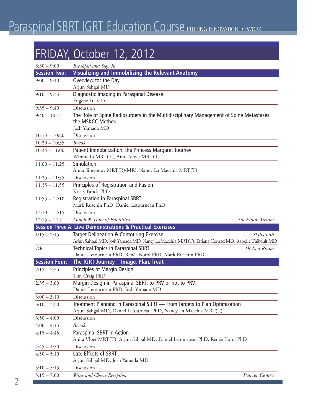#### FRIDAY, October 12, 2012

| $8:30 - 9:00$        | Breakfast and Sign In                                                                                                                                       |  |
|----------------------|-------------------------------------------------------------------------------------------------------------------------------------------------------------|--|
| <b>Session Two:</b>  | <b>Visualizing and Immobilizing the Relevant Anatomy</b>                                                                                                    |  |
| $9:00 - 9:10$        | Overview for the Day                                                                                                                                        |  |
|                      | Arjun Sahgal MD                                                                                                                                             |  |
| $9:10 - 9:35$        | Diagnostic Imaging in Paraspinal Disease                                                                                                                    |  |
|                      | Eugene Yu MD                                                                                                                                                |  |
| $9:35 - 9:40$        | Discussion                                                                                                                                                  |  |
| $9:40 - 10:15$       | The Role of Spine Radiosurgery in the Multidisciplinary Management of Spine Metastases:<br>the MSKCC Method                                                 |  |
|                      | Josh Yamada MD                                                                                                                                              |  |
| $10:15 - 10:20$      | Discussion                                                                                                                                                  |  |
| $10:20 - 10:35$      | <b>Break</b>                                                                                                                                                |  |
| $10:35 - 11:00$      | Patient Immobilization: the Princess Margaret Journey                                                                                                       |  |
|                      | Winnie Li MRT(T), Anita Vloet MRT(T)                                                                                                                        |  |
| $11:00 - 11:25$      | Simulation                                                                                                                                                  |  |
|                      | Anna Simeonov MRT(R)(MR), Nancy La Macchia MRT(T)                                                                                                           |  |
| $11:25 - 11:35$      | Discussion                                                                                                                                                  |  |
| $11:35 - 11:55$      | Principles of Registration and Fusion                                                                                                                       |  |
|                      | Kristy Brock PhD                                                                                                                                            |  |
| $11:55 - 12:10$      | Registration in Paraspinal SBRT                                                                                                                             |  |
|                      | Mark Ruschin PhD, Daniel Letourneau PhD                                                                                                                     |  |
| $12:10 - 12:15$      | Discussion                                                                                                                                                  |  |
| $12:15 - 1:15$       | Lunch & Tour of Facilities<br>7th Floor Atrium                                                                                                              |  |
|                      | <b>Session Three A: Live Demonstrations &amp; Practical Exercises</b>                                                                                       |  |
| $1:15 - 2:15$        | Target Delineation & Contouring Exercise<br>Skills Lab<br>Arjun Sahgal MD, Josh Yamada MD, Nancy La Macchia MRT(T), Tatiana Conrad MD, Isabelle Thibault MD |  |
| <b>OR</b>            | <b>Technical Topics in Paraspinal SBRT</b><br>1B Red Room                                                                                                   |  |
|                      | Daniel Letourneau PhD, Renée Korol PhD, Mark Ruschin PhD                                                                                                    |  |
| <b>Session Four:</b> | The IGRT Journey - Image, Plan, Treat                                                                                                                       |  |
| $2:15 - 2:35$        | Principles of Margin Design                                                                                                                                 |  |
|                      | Tim Craig PhD                                                                                                                                               |  |
| $2:35 - 3:00$        | Margin Design in Paraspinal SBRT: to PRV or not to PRV                                                                                                      |  |
|                      | Daniel Letourneau PhD, Josh Yamada MD                                                                                                                       |  |
| $3:00 - 3:10$        | Discussion                                                                                                                                                  |  |
| $3:10 - 3:50$        | Treatment Planning in Paraspinal SBRT - From Targets to Plan Optimization                                                                                   |  |
|                      | Arjun Sahgal MD, Daniel Letourneau PhD, Nancy La Macchia MRT(T)                                                                                             |  |
| $3:50 - 4:00$        | Discussion                                                                                                                                                  |  |
| $4:00 - 4:15$        | <b>Break</b>                                                                                                                                                |  |
| $4:15 - 4:45$        | Paraspinal SBRT in Action                                                                                                                                   |  |
|                      | Anita Vloet MRT(T), Arjun Sahgal MD, Daniel Letourneau PhD, Renée Korol PhD                                                                                 |  |
| $4:45 - 4:50$        | Discussion                                                                                                                                                  |  |
| $4:50 - 5:10$        | Late Effects of SBRT                                                                                                                                        |  |
|                      | Arjun Sahgal MD, Josh Yamada MD                                                                                                                             |  |
| $5:10 - 5:15$        | Discussion                                                                                                                                                  |  |
| $5:15 - 7:00$        | Wine and Cheese Reception<br>Pencer Centre                                                                                                                  |  |